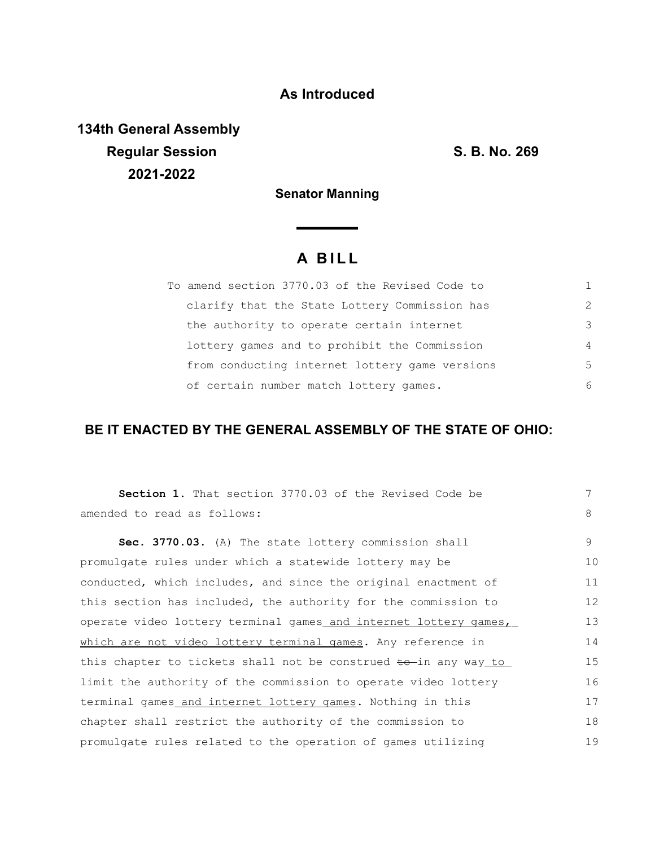## **As Introduced**

**134th General Assembly Regular Session S. B. No. 269 2021-2022**

**Senator Manning**

<u> a shekara ta 1991</u>

# **A B I L L**

| To amend section 3770.03 of the Revised Code to |               |
|-------------------------------------------------|---------------|
| clarify that the State Lottery Commission has   | $\mathcal{L}$ |
| the authority to operate certain internet       | 3             |
| lottery games and to prohibit the Commission    | 4             |
| from conducting internet lottery game versions  | 5             |
| of certain number match lottery games.          | 6             |

### **BE IT ENACTED BY THE GENERAL ASSEMBLY OF THE STATE OF OHIO:**

| <b>Section 1.</b> That section 3770.03 of the Revised Code be              | 7  |
|----------------------------------------------------------------------------|----|
| amended to read as follows:                                                | 8  |
| Sec. 3770.03. (A) The state lottery commission shall                       | 9  |
| promulgate rules under which a statewide lottery may be                    | 10 |
| conducted, which includes, and since the original enactment of             | 11 |
| this section has included, the authority for the commission to             | 12 |
| operate video lottery terminal games and internet lottery games,           | 13 |
| which are not video lottery terminal games. Any reference in               | 14 |
| this chapter to tickets shall not be construed <del>to</del> in any way to | 15 |
| limit the authority of the commission to operate video lottery             | 16 |
| terminal games_and_internet_lottery_games. Nothing_in_this                 | 17 |
| chapter shall restrict the authority of the commission to                  | 18 |
| promulgate rules related to the operation of games utilizing               | 19 |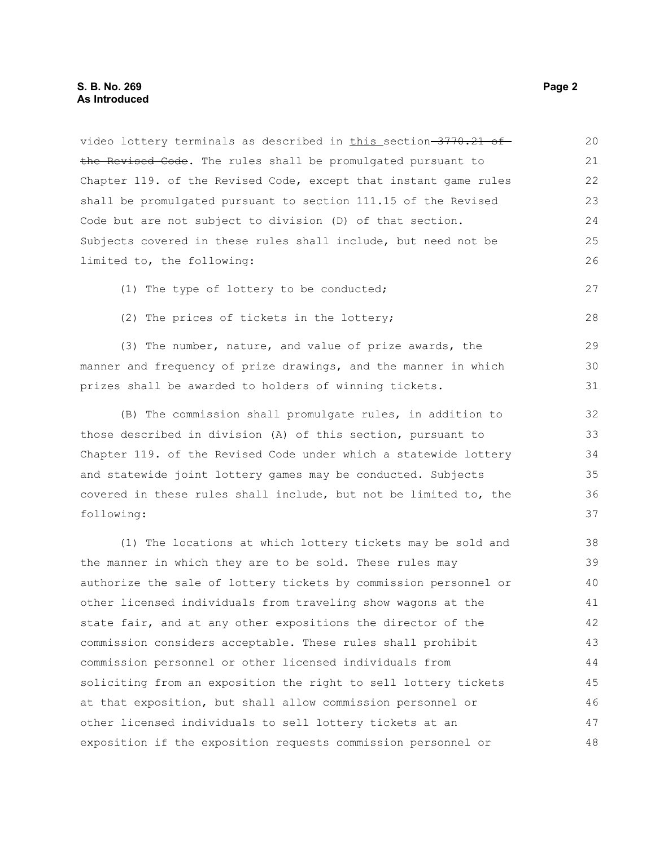video lottery terminals as described in this section 3770.21 of the Revised Code. The rules shall be promulgated pursuant to Chapter 119. of the Revised Code, except that instant game rules shall be promulgated pursuant to section 111.15 of the Revised Code but are not subject to division (D) of that section. Subjects covered in these rules shall include, but need not be limited to, the following: (1) The type of lottery to be conducted; (2) The prices of tickets in the lottery; (3) The number, nature, and value of prize awards, the manner and frequency of prize drawings, and the manner in which prizes shall be awarded to holders of winning tickets. (B) The commission shall promulgate rules, in addition to those described in division (A) of this section, pursuant to Chapter 119. of the Revised Code under which a statewide lottery and statewide joint lottery games may be conducted. Subjects covered in these rules shall include, but not be limited to, the following: (1) The locations at which lottery tickets may be sold and 20 21 22 23 24 25 26 27 28 29 30 31 32 33 34 35 36 37 38

the manner in which they are to be sold. These rules may authorize the sale of lottery tickets by commission personnel or other licensed individuals from traveling show wagons at the state fair, and at any other expositions the director of the commission considers acceptable. These rules shall prohibit commission personnel or other licensed individuals from soliciting from an exposition the right to sell lottery tickets at that exposition, but shall allow commission personnel or other licensed individuals to sell lottery tickets at an exposition if the exposition requests commission personnel or 39 40 41 42 43 44 45 46 47 48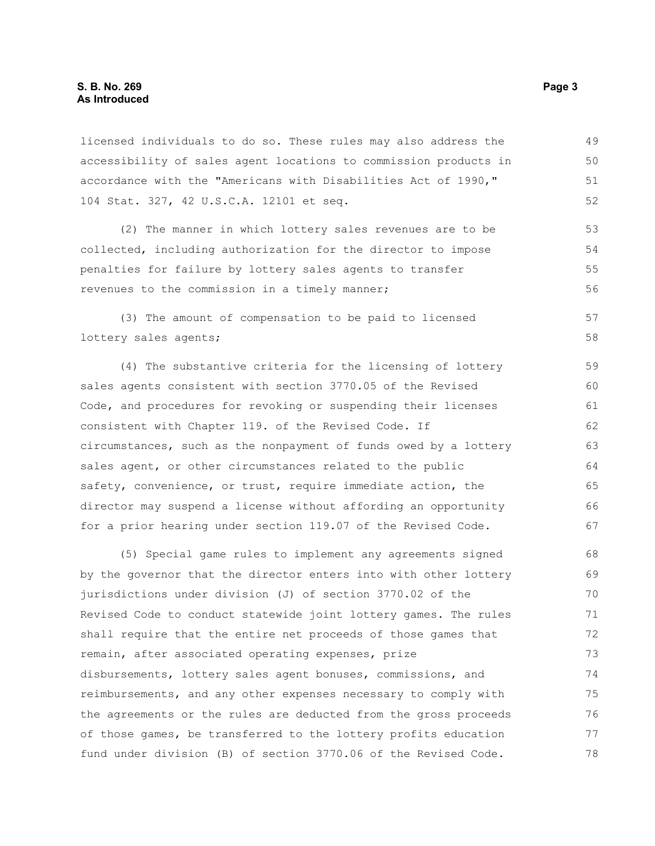#### **S. B. No. 269 Page 3 As Introduced**

licensed individuals to do so. These rules may also address the accessibility of sales agent locations to commission products in accordance with the "Americans with Disabilities Act of 1990," 104 Stat. 327, 42 U.S.C.A. 12101 et seq. 49 50 51 52

(2) The manner in which lottery sales revenues are to be collected, including authorization for the director to impose penalties for failure by lottery sales agents to transfer revenues to the commission in a timely manner; 53 54 55 56

(3) The amount of compensation to be paid to licensed lottery sales agents;

(4) The substantive criteria for the licensing of lottery sales agents consistent with section 3770.05 of the Revised Code, and procedures for revoking or suspending their licenses consistent with Chapter 119. of the Revised Code. If circumstances, such as the nonpayment of funds owed by a lottery sales agent, or other circumstances related to the public safety, convenience, or trust, require immediate action, the director may suspend a license without affording an opportunity for a prior hearing under section 119.07 of the Revised Code. 59 60 61 62 63 64 65 66 67

(5) Special game rules to implement any agreements signed by the governor that the director enters into with other lottery jurisdictions under division (J) of section 3770.02 of the Revised Code to conduct statewide joint lottery games. The rules shall require that the entire net proceeds of those games that remain, after associated operating expenses, prize disbursements, lottery sales agent bonuses, commissions, and reimbursements, and any other expenses necessary to comply with the agreements or the rules are deducted from the gross proceeds of those games, be transferred to the lottery profits education fund under division (B) of section 3770.06 of the Revised Code. 68 69 70 71 72 73 74 75 76 77 78

57 58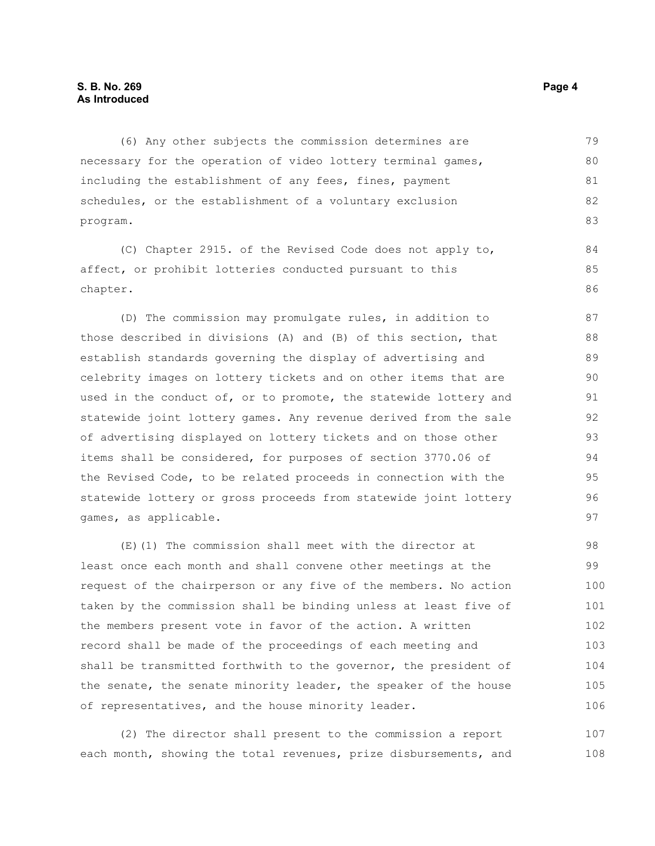### **S. B. No. 269 Page 4 As Introduced**

(6) Any other subjects the commission determines are necessary for the operation of video lottery terminal games, including the establishment of any fees, fines, payment schedules, or the establishment of a voluntary exclusion program. 79 80 81 82 83

(C) Chapter 2915. of the Revised Code does not apply to, affect, or prohibit lotteries conducted pursuant to this chapter.

(D) The commission may promulgate rules, in addition to those described in divisions (A) and (B) of this section, that establish standards governing the display of advertising and celebrity images on lottery tickets and on other items that are used in the conduct of, or to promote, the statewide lottery and statewide joint lottery games. Any revenue derived from the sale of advertising displayed on lottery tickets and on those other items shall be considered, for purposes of section 3770.06 of the Revised Code, to be related proceeds in connection with the statewide lottery or gross proceeds from statewide joint lottery games, as applicable.

(E)(1) The commission shall meet with the director at least once each month and shall convene other meetings at the request of the chairperson or any five of the members. No action taken by the commission shall be binding unless at least five of the members present vote in favor of the action. A written record shall be made of the proceedings of each meeting and shall be transmitted forthwith to the governor, the president of the senate, the senate minority leader, the speaker of the house of representatives, and the house minority leader. 98 99 100 101 102 103 104 105 106

(2) The director shall present to the commission a report each month, showing the total revenues, prize disbursements, and 107 108

84 85 86